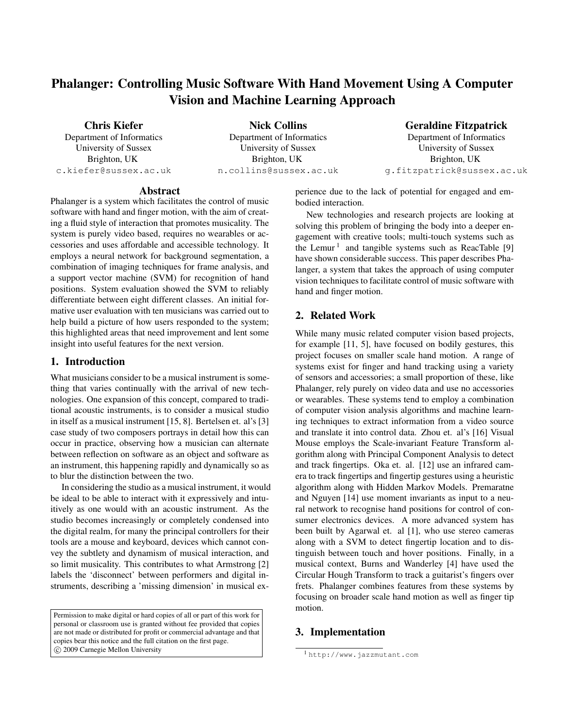# Phalanger: Controlling Music Software With Hand Movement Using A Computer Vision and Machine Learning Approach

Chris Kiefer

Department of Informatics University of Sussex Brighton, UK c.kiefer@sussex.ac.uk

Nick Collins Department of Informatics University of Sussex Brighton, UK n.collins@sussex.ac.uk Geraldine Fitzpatrick

Department of Informatics University of Sussex Brighton, UK g.fitzpatrick@sussex.ac.uk

#### Abstract

Phalanger is a system which facilitates the control of music software with hand and finger motion, with the aim of creating a fluid style of interaction that promotes musicality. The system is purely video based, requires no wearables or accessories and uses affordable and accessible technology. It employs a neural network for background segmentation, a combination of imaging techniques for frame analysis, and a support vector machine (SVM) for recognition of hand positions. System evaluation showed the SVM to reliably differentiate between eight different classes. An initial formative user evaluation with ten musicians was carried out to help build a picture of how users responded to the system; this highlighted areas that need improvement and lent some insight into useful features for the next version.

## 1. Introduction

What musicians consider to be a musical instrument is something that varies continually with the arrival of new technologies. One expansion of this concept, compared to traditional acoustic instruments, is to consider a musical studio in itself as a musical instrument [15, 8]. Bertelsen et. al's [3] case study of two composers portrays in detail how this can occur in practice, observing how a musician can alternate between reflection on software as an object and software as an instrument, this happening rapidly and dynamically so as to blur the distinction between the two.

In considering the studio as a musical instrument, it would be ideal to be able to interact with it expressively and intuitively as one would with an acoustic instrument. As the studio becomes increasingly or completely condensed into the digital realm, for many the principal controllers for their tools are a mouse and keyboard, devices which cannot convey the subtlety and dynamism of musical interaction, and so limit musicality. This contributes to what Armstrong [2] labels the 'disconnect' between performers and digital instruments, describing a 'missing dimension' in musical ex-

Permission to make digital or hard copies of all or part of this work for personal or classroom use is granted without fee provided that copies are not made or distributed for profit or commercial advantage and that copies bear this notice and the full citation on the first page. c 2009 Carnegie Mellon University

perience due to the lack of potential for engaged and embodied interaction.

New technologies and research projects are looking at solving this problem of bringing the body into a deeper engagement with creative tools; multi-touch systems such as the Lemur<sup>1</sup> and tangible systems such as ReacTable [9] have shown considerable success. This paper describes Phalanger, a system that takes the approach of using computer vision techniques to facilitate control of music software with hand and finger motion.

# 2. Related Work

While many music related computer vision based projects, for example [11, 5], have focused on bodily gestures, this project focuses on smaller scale hand motion. A range of systems exist for finger and hand tracking using a variety of sensors and accessories; a small proportion of these, like Phalanger, rely purely on video data and use no accessories or wearables. These systems tend to employ a combination of computer vision analysis algorithms and machine learning techniques to extract information from a video source and translate it into control data. Zhou et. al's [16] Visual Mouse employs the Scale-invariant Feature Transform algorithm along with Principal Component Analysis to detect and track fingertips. Oka et. al. [12] use an infrared camera to track fingertips and fingertip gestures using a heuristic algorithm along with Hidden Markov Models. Premaratne and Nguyen [14] use moment invariants as input to a neural network to recognise hand positions for control of consumer electronics devices. A more advanced system has been built by Agarwal et. al [1], who use stereo cameras along with a SVM to detect fingertip location and to distinguish between touch and hover positions. Finally, in a musical context, Burns and Wanderley [4] have used the Circular Hough Transform to track a guitarist's fingers over frets. Phalanger combines features from these systems by focusing on broader scale hand motion as well as finger tip motion.

## 3. Implementation

<sup>1</sup> http://www.jazzmutant.com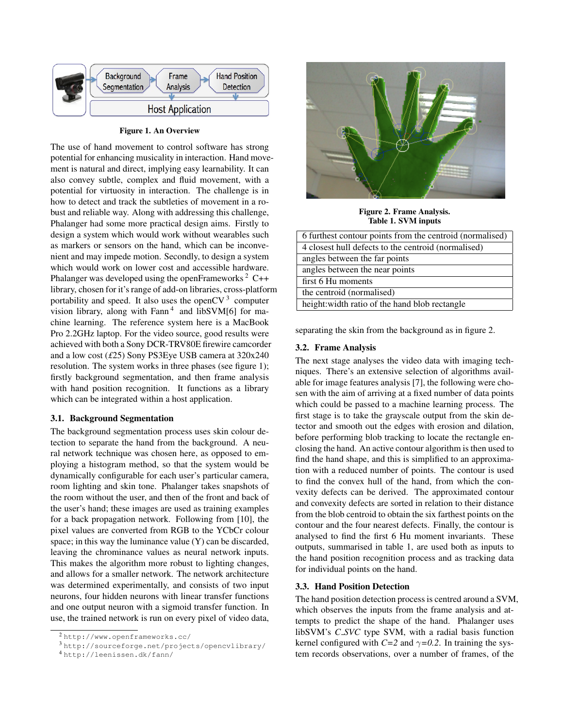

Figure 1. An Overview

The use of hand movement to control software has strong potential for enhancing musicality in interaction. Hand movement is natural and direct, implying easy learnability. It can also convey subtle, complex and fluid movement, with a potential for virtuosity in interaction. The challenge is in how to detect and track the subtleties of movement in a robust and reliable way. Along with addressing this challenge, Phalanger had some more practical design aims. Firstly to design a system which would work without wearables such as markers or sensors on the hand, which can be inconvenient and may impede motion. Secondly, to design a system which would work on lower cost and accessible hardware. Phalanger was developed using the openFrameworks<sup>2</sup> C++ library, chosen for it's range of add-on libraries, cross-platform portability and speed. It also uses the openCV $3$  computer vision library, along with Fann<sup>4</sup> and libSVM[6] for machine learning. The reference system here is a MacBook Pro 2.2GHz laptop. For the video source, good results were achieved with both a Sony DCR-TRV80E firewire camcorder and a low cost (*£*25) Sony PS3Eye USB camera at 320x240 resolution. The system works in three phases (see figure 1); firstly background segmentation, and then frame analysis with hand position recognition. It functions as a library which can be integrated within a host application.

#### 3.1. Background Segmentation

The background segmentation process uses skin colour detection to separate the hand from the background. A neural network technique was chosen here, as opposed to employing a histogram method, so that the system would be dynamically configurable for each user's particular camera, room lighting and skin tone. Phalanger takes snapshots of the room without the user, and then of the front and back of the user's hand; these images are used as training examples for a back propagation network. Following from [10], the pixel values are converted from RGB to the YCbCr colour space; in this way the luminance value (Y) can be discarded, leaving the chrominance values as neural network inputs. This makes the algorithm more robust to lighting changes, and allows for a smaller network. The network architecture was determined experimentally, and consists of two input neurons, four hidden neurons with linear transfer functions and one output neuron with a sigmoid transfer function. In use, the trained network is run on every pixel of video data,



Figure 2. Frame Analysis. Table 1. SVM inputs

| 6 furthest contour points from the centroid (normalised) |
|----------------------------------------------------------|
| 4 closest hull defects to the centroid (normalised)      |
| angles between the far points                            |
| angles between the near points                           |
| first 6 Hu moments                                       |
| the centroid (normalised)                                |
| height: width ratio of the hand blob rectangle           |

separating the skin from the background as in figure 2.

#### 3.2. Frame Analysis

The next stage analyses the video data with imaging techniques. There's an extensive selection of algorithms available for image features analysis [7], the following were chosen with the aim of arriving at a fixed number of data points which could be passed to a machine learning process. The first stage is to take the grayscale output from the skin detector and smooth out the edges with erosion and dilation, before performing blob tracking to locate the rectangle enclosing the hand. An active contour algorithm is then used to find the hand shape, and this is simplified to an approximation with a reduced number of points. The contour is used to find the convex hull of the hand, from which the convexity defects can be derived. The approximated contour and convexity defects are sorted in relation to their distance from the blob centroid to obtain the six farthest points on the contour and the four nearest defects. Finally, the contour is analysed to find the first 6 Hu moment invariants. These outputs, summarised in table 1, are used both as inputs to the hand position recognition process and as tracking data for individual points on the hand.

#### 3.3. Hand Position Detection

The hand position detection process is centred around a SVM, which observes the inputs from the frame analysis and attempts to predict the shape of the hand. Phalanger uses libSVM's *C SVC* type SVM, with a radial basis function kernel configured with  $C=2$  and  $\gamma=0.2$ . In training the system records observations, over a number of frames, of the

<sup>2</sup> http://www.openframeworks.cc/

<sup>3</sup> http://sourceforge.net/projects/opencvlibrary/

<sup>4</sup> http://leenissen.dk/fann/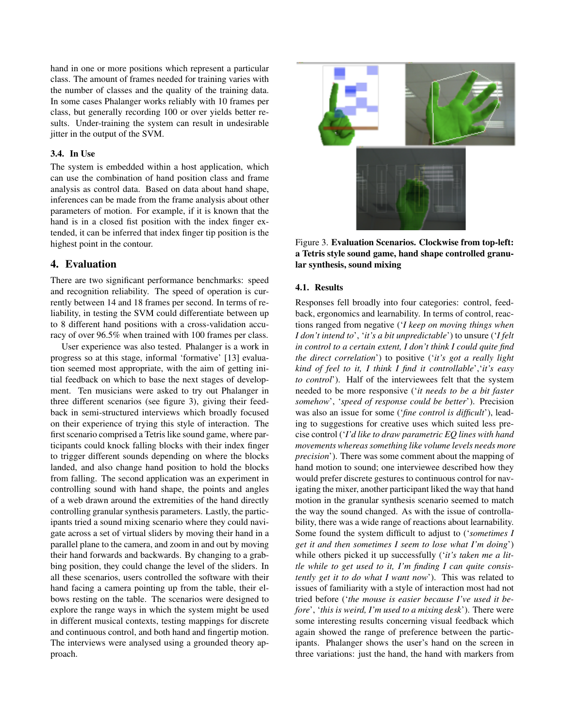hand in one or more positions which represent a particular class. The amount of frames needed for training varies with the number of classes and the quality of the training data. In some cases Phalanger works reliably with 10 frames per class, but generally recording 100 or over yields better results. Under-training the system can result in undesirable jitter in the output of the SVM.

## 3.4. In Use

The system is embedded within a host application, which can use the combination of hand position class and frame analysis as control data. Based on data about hand shape, inferences can be made from the frame analysis about other parameters of motion. For example, if it is known that the hand is in a closed fist position with the index finger extended, it can be inferred that index finger tip position is the highest point in the contour.

## 4. Evaluation

There are two significant performance benchmarks: speed and recognition reliability. The speed of operation is currently between 14 and 18 frames per second. In terms of reliability, in testing the SVM could differentiate between up to 8 different hand positions with a cross-validation accuracy of over 96.5% when trained with 100 frames per class.

User experience was also tested. Phalanger is a work in progress so at this stage, informal 'formative' [13] evaluation seemed most appropriate, with the aim of getting initial feedback on which to base the next stages of development. Ten musicians were asked to try out Phalanger in three different scenarios (see figure 3), giving their feedback in semi-structured interviews which broadly focused on their experience of trying this style of interaction. The first scenario comprised a Tetris like sound game, where participants could knock falling blocks with their index finger to trigger different sounds depending on where the blocks landed, and also change hand position to hold the blocks from falling. The second application was an experiment in controlling sound with hand shape, the points and angles of a web drawn around the extremities of the hand directly controlling granular synthesis parameters. Lastly, the participants tried a sound mixing scenario where they could navigate across a set of virtual sliders by moving their hand in a parallel plane to the camera, and zoom in and out by moving their hand forwards and backwards. By changing to a grabbing position, they could change the level of the sliders. In all these scenarios, users controlled the software with their hand facing a camera pointing up from the table, their elbows resting on the table. The scenarios were designed to explore the range ways in which the system might be used in different musical contexts, testing mappings for discrete and continuous control, and both hand and fingertip motion. The interviews were analysed using a grounded theory approach.



Figure 3. Evaluation Scenarios. Clockwise from top-left: a Tetris style sound game, hand shape controlled granular synthesis, sound mixing

#### 4.1. Results

Responses fell broadly into four categories: control, feedback, ergonomics and learnability. In terms of control, reactions ranged from negative ('*I keep on moving things when I don't intend to*', '*it's a bit unpredictable*') to unsure ('*I felt in control to a certain extent, I don't think I could quite find the direct correlation*') to positive ('*it's got a really light kind of feel to it, I think I find it controllable*','*it's easy to control*'). Half of the interviewees felt that the system needed to be more responsive ('*it needs to be a bit faster somehow*', '*speed of response could be better*'). Precision was also an issue for some ('*fine control is difficult*'), leading to suggestions for creative uses which suited less precise control ('*I'd like to draw parametric EQ lines with hand movements whereas something like volume levels needs more precision*'). There was some comment about the mapping of hand motion to sound; one interviewee described how they would prefer discrete gestures to continuous control for navigating the mixer, another participant liked the way that hand motion in the granular synthesis scenario seemed to match the way the sound changed. As with the issue of controllability, there was a wide range of reactions about learnability. Some found the system difficult to adjust to ('*sometimes I get it and then sometimes I seem to lose what I'm doing*') while others picked it up successfully ('*it's taken me a little while to get used to it, I'm finding I can quite consistently get it to do what I want now*'). This was related to issues of familiarity with a style of interaction most had not tried before ('*the mouse is easier because I've used it before*', '*this is weird, I'm used to a mixing desk*'). There were some interesting results concerning visual feedback which again showed the range of preference between the participants. Phalanger shows the user's hand on the screen in three variations: just the hand, the hand with markers from